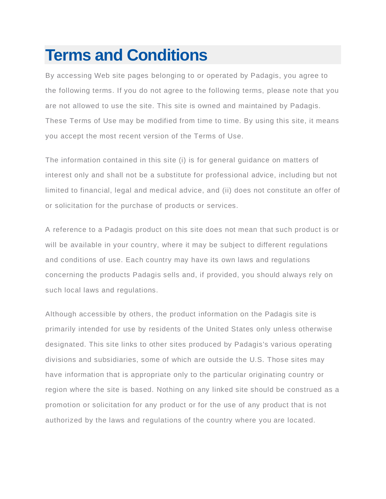## **Terms and Conditions**

By accessing Web site pages belonging to or operated by Padagis, you agree to the following terms. If you do not agree to the following terms, please note that you are not allowed to use the site. This site is owned and maintained by Padagis. These Terms of Use may be modified from time to time. By using this site, it means you accept the most recent version of the Terms of Use.

The information contained in this site (i) is for general guidance on matters of interest only and shall not be a substitute for professional advice, including but not limited to financial, legal and medical advice, and (ii) does not constitute an offer of or solicitation for the purchase of products or services.

A reference to a Padagis product on this site does not mean that such product is or will be available in your country, where it may be subject to different regulations and conditions of use. Each country may have its own laws and regulations concerning the products Padagis sells and, if provided, you should always rely on such local laws and regulations.

Although accessible by others, the product information on the Padagis site is primarily intended for use by residents of the United States only unless otherwise designated. This site links to other sites produced by Padagis's various operating divisions and subsidiaries, some of which are outside the U.S. Those sites may have information that is appropriate only to the particular originating country or region where the site is based. Nothing on any linked site should be construed as a promotion or solicitation for any product or for the use of any product that is not authorized by the laws and regulations of the country where you are located.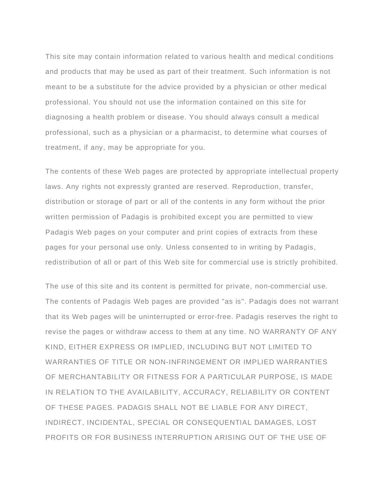This site may contain information related to various health and medical conditions and products that may be used as part of their treatment. Such information is not meant to be a substitute for the advice provided by a physician or other medical professional. You should not use the information contained on this site for diagnosing a health problem or disease. You should always consult a medical professional, such as a physician or a pharmacist, to determine what courses of treatment, if any, may be appropriate for you.

The contents of these Web pages are protected by appropriate intellectual property laws. Any rights not expressly granted are reserved. Reproduction, transfer, distribution or storage of part or all of the contents in any form without the prior written permission of Padagis is prohibited except you are permitted to view Padagis Web pages on your computer and print copies of extracts from these pages for your personal use only. Unless consented to in writing by Padagis, redistribution of all or part of this Web site for commercial use is strictly prohibited.

The use of this site and its content is permitted for private, non-commercial use. The contents of Padagis Web pages are provided "as is". Padagis does not warrant that its Web pages will be uninterrupted or error-free. Padagis reserves the right to revise the pages or withdraw access to them at any time. NO WARRANTY OF ANY KIND, EITHER EXPRESS OR IMPLIED, INCLUDING BUT NOT LIMITED TO WARRANTIES OF TITLE OR NON-INFRINGEMENT OR IMPLIED WARRANTIES OF MERCHANTABILITY OR FITNESS FOR A PARTICULAR PURPOSE, IS MADE IN RELATION TO THE AVAILABILITY, ACCURACY, RELIABILITY OR CONTENT OF THESE PAGES. PADAGIS SHALL NOT BE LIABLE FOR ANY DIRECT, INDIRECT, INCIDENTAL, SPECIAL OR CONSEQUENTIAL DAMAGES, LOST PROFITS OR FOR BUSINESS INTERRUPTION ARISING OUT OF THE USE OF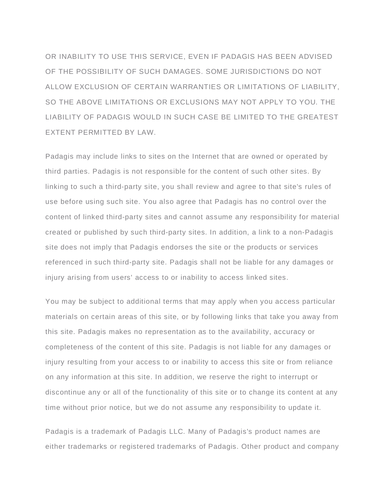OR INABILITY TO USE THIS SERVICE, EVEN IF PADAGIS HAS BEEN ADVISED OF THE POSSIBILITY OF SUCH DAMAGES. SOME JURISDICTIONS DO NOT ALLOW EXCLUSION OF CERTAIN WARRANTIES OR LIMITATIONS OF LIABILITY, SO THE ABOVE LIMITATIONS OR EXCLUSIONS MAY NOT APPLY TO YOU. THE LIABILITY OF PADAGIS WOULD IN SUCH CASE BE LIMITED TO THE GREATEST EXTENT PERMITTED BY LAW.

Padagis may include links to sites on the Internet that are owned or operated by third parties. Padagis is not responsible for the content of such other sites. By linking to such a third-party site, you shall review and agree to that site's rules of use before using such site. You also agree that Padagis has no control over the content of linked third-party sites and cannot assume any responsibility for material created or published by such third-party sites. In addition, a link to a non-Padagis site does not imply that Padagis endorses the site or the products or services referenced in such third-party site. Padagis shall not be liable for any damages or injury arising from users' access to or inability to access linked sites.

You may be subject to additional terms that may apply when you access particular materials on certain areas of this site, or by following links that take you away from this site. Padagis makes no representation as to the availability, accuracy or completeness of the content of this site. Padagis is not liable for any damages or injury resulting from your access to or inability to access this site or from reliance on any information at this site. In addition, we reserve the right to interrupt or discontinue any or all of the functionality of this site or to change its content at any time without prior notice, but we do not assume any responsibility to update it.

Padagis is a trademark of Padagis LLC. Many of Padagis's product names are either trademarks or registered trademarks of Padagis. Other product and company